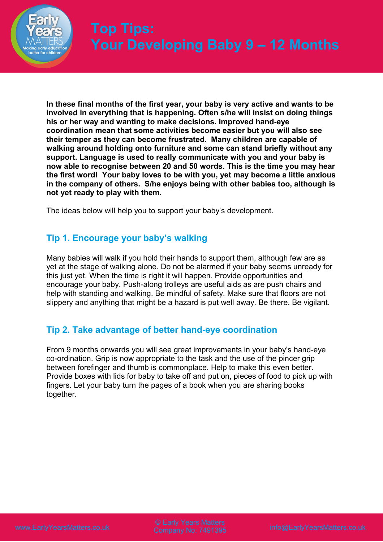

**In these final months of the first year, your baby is very active and wants to be involved in everything that is happening. Often s/he will insist on doing things his or her way and wanting to make decisions. Improved hand-eye coordination mean that some activities become easier but you will also see their temper as they can become frustrated. Many children are capable of walking around holding onto furniture and some can stand briefly without any support. Language is used to really communicate with you and your baby is now able to recognise between 20 and 50 words. This is the time you may hear the first word! Your baby loves to be with you, yet may become a little anxious in the company of others. S/he enjoys being with other babies too, although is not yet ready to play with them.**

The ideas below will help you to support your baby's development.

# **Tip 1. Encourage your baby's walking**

Many babies will walk if you hold their hands to support them, although few are as yet at the stage of walking alone. Do not be alarmed if your baby seems unready for this just yet. When the time is right it will happen. Provide opportunities and encourage your baby. Push-along trolleys are useful aids as are push chairs and help with standing and walking. Be mindful of safety. Make sure that floors are not slippery and anything that might be a hazard is put well away. Be there. Be vigilant.

# **Tip 2. Take advantage of better hand-eye coordination**

From 9 months onwards you will see great improvements in your baby's hand-eye co-ordination. Grip is now appropriate to the task and the use of the pincer grip between forefinger and thumb is commonplace. Help to make this even better. Provide boxes with lids for baby to take off and put on, pieces of food to pick up with fingers. Let your baby turn the pages of a book when you are sharing books together.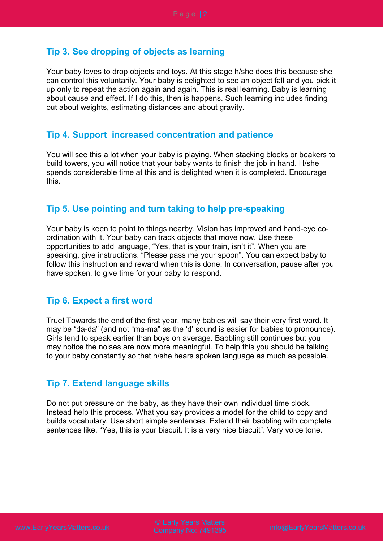# **Tip 3. See dropping of objects as learning**

Your baby loves to drop objects and toys. At this stage h/she does this because she can control this voluntarily. Your baby is delighted to see an object fall and you pick it up only to repeat the action again and again. This is real learning. Baby is learning about cause and effect. If I do this, then is happens. Such learning includes finding out about weights, estimating distances and about gravity.

#### **Tip 4. Support increased concentration and patience**

You will see this a lot when your baby is playing. When stacking blocks or beakers to build towers, you will notice that your baby wants to finish the job in hand. H/she spends considerable time at this and is delighted when it is completed. Encourage this.

# **Tip 5. Use pointing and turn taking to help pre-speaking**

Your baby is keen to point to things nearby. Vision has improved and hand-eye coordination with it. Your baby can track objects that move now. Use these opportunities to add language, "Yes, that is your train, isn't it". When you are speaking, give instructions. "Please pass me your spoon". You can expect baby to follow this instruction and reward when this is done. In conversation, pause after you have spoken, to give time for your baby to respond.

#### **Tip 6. Expect a first word**

True! Towards the end of the first year, many babies will say their very first word. It may be "da-da" (and not "ma-ma" as the 'd' sound is easier for babies to pronounce). Girls tend to speak earlier than boys on average. Babbling still continues but you may notice the noises are now more meaningful. To help this you should be talking to your baby constantly so that h/she hears spoken language as much as possible.

#### **Tip 7. Extend language skills**

Do not put pressure on the baby, as they have their own individual time clock. Instead help this process. What you say provides a model for the child to copy and builds vocabulary. Use short simple sentences. Extend their babbling with complete sentences like, "Yes, this is your biscuit. It is a very nice biscuit". Vary voice tone.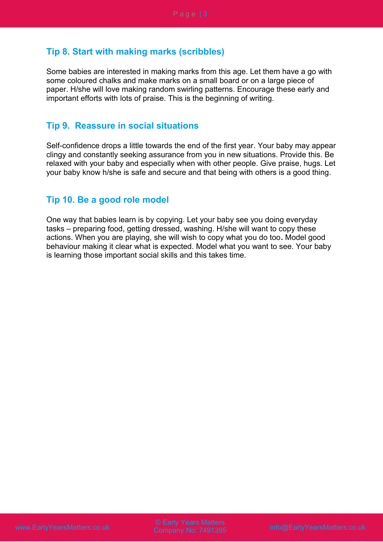# **Tip 8. Start with making marks (scribbles)**

Some babies are interested in making marks from this age. Let them have a go with some coloured chalks and make marks on a small board or on a large piece of paper. H/she will love making random swirling patterns. Encourage these early and important efforts with lots of praise. This is the beginning of writing.

# **Tip 9. Reassure in social situations**

Self-confidence drops a little towards the end of the first year. Your baby may appear clingy and constantly seeking assurance from you in new situations. Provide this. Be relaxed with your baby and especially when with other people. Give praise, hugs. Let your baby know h/she is safe and secure and that being with others is a good thing.

# **Tip 10. Be a good role model**

One way that babies learn is by copying. Let your baby see you doing everyday tasks – preparing food, getting dressed, washing. H/she will want to copy these actions. When you are playing, she will wish to copy what you do too**.** Model good behaviour making it clear what is expected. Model what you want to see. Your baby is learning those important social skills and this takes time.